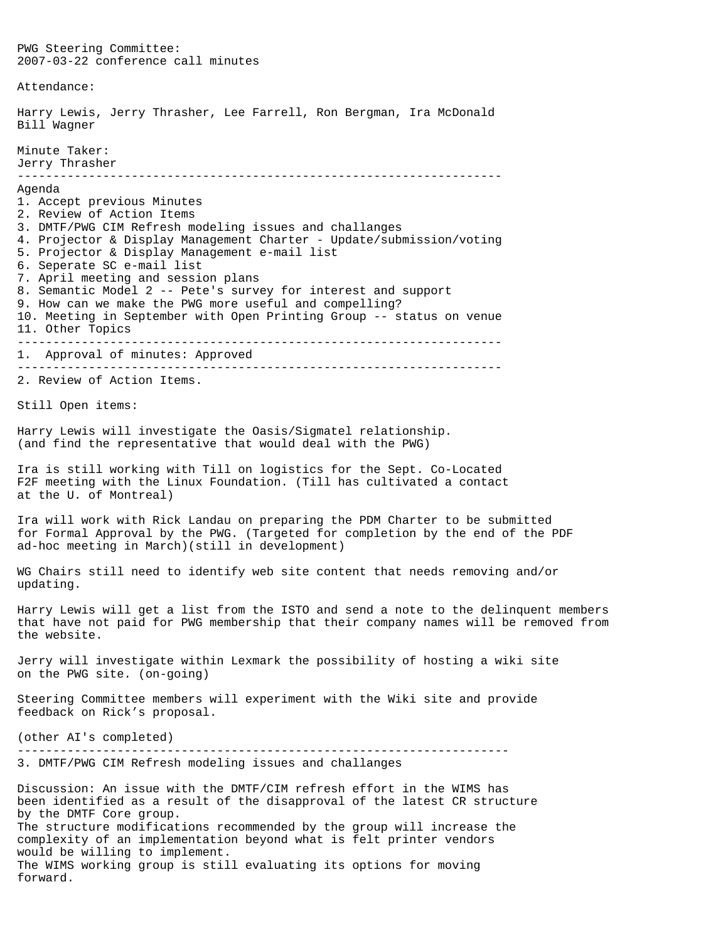PWG Steering Committee: 2007-03-22 conference call minutes Attendance: Harry Lewis, Jerry Thrasher, Lee Farrell, Ron Bergman, Ira McDonald Bill Wagner Minute Taker: Jerry Thrasher -------------------------------------------------------------------- Agenda 1. Accept previous Minutes 2. Review of Action Items 3. DMTF/PWG CIM Refresh modeling issues and challanges 4. Projector & Display Management Charter - Update/submission/voting 5. Projector & Display Management e-mail list 6. Seperate SC e-mail list 7. April meeting and session plans 8. Semantic Model 2 -- Pete's survey for interest and support 9. How can we make the PWG more useful and compelling? 10. Meeting in September with Open Printing Group -- status on venue 11. Other Topics -------------------------------------------------------------------- 1. Approval of minutes: Approved -------------------------------------------------------------------- 2. Review of Action Items. Still Open items: Harry Lewis will investigate the Oasis/Sigmatel relationship. (and find the representative that would deal with the PWG) Ira is still working with Till on logistics for the Sept. Co-Located F2F meeting with the Linux Foundation. (Till has cultivated a contact at the U. of Montreal) Ira will work with Rick Landau on preparing the PDM Charter to be submitted for Formal Approval by the PWG. (Targeted for completion by the end of the PDF ad-hoc meeting in March)(still in development) WG Chairs still need to identify web site content that needs removing and/or updating. Harry Lewis will get a list from the ISTO and send a note to the delinquent members that have not paid for PWG membership that their company names will be removed from the website. Jerry will investigate within Lexmark the possibility of hosting a wiki site on the PWG site. (on-going) Steering Committee members will experiment with the Wiki site and provide feedback on Rick's proposal. (other AI's completed) --------------------------------------------------------------------- 3. DMTF/PWG CIM Refresh modeling issues and challanges Discussion: An issue with the DMTF/CIM refresh effort in the WIMS has been identified as a result of the disapproval of the latest CR structure by the DMTF Core group. The structure modifications recommended by the group will increase the complexity of an implementation beyond what is felt printer vendors would be willing to implement. The WIMS working group is still evaluating its options for moving forward.